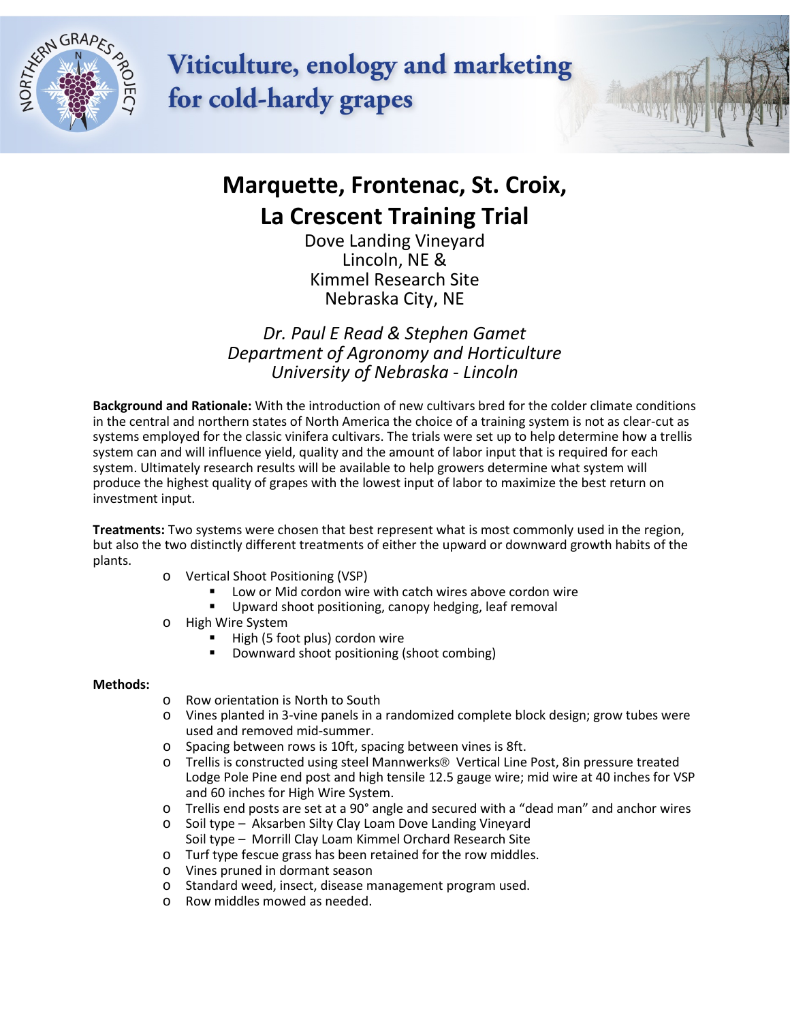

**Viticulture, enology and marketing** for cold-hardy grapes



## **Marquette, Frontenac, St. Croix, La Crescent Training Trial**

Dove Landing Vineyard Lincoln, NE & Kimmel Research Site Nebraska City, NE

*Dr. Paul E Read & Stephen Gamet Department of Agronomy and Horticulture University of Nebraska - Lincoln*

**Background and Rationale:** With the introduction of new cultivars bred for the colder climate conditions in the central and northern states of North America the choice of a training system is not as clear-cut as systems employed for the classic vinifera cultivars. The trials were set up to help determine how a trellis system can and will influence yield, quality and the amount of labor input that is required for each system. Ultimately research results will be available to help growers determine what system will produce the highest quality of grapes with the lowest input of labor to maximize the best return on investment input.

**Treatments:** Two systems were chosen that best represent what is most commonly used in the region, but also the two distinctly different treatments of either the upward or downward growth habits of the plants.

- o Vertical Shoot Positioning (VSP)
	- Low or Mid cordon wire with catch wires above cordon wire
		- Upward shoot positioning, canopy hedging, leaf removal
- o High Wire System
	- High (5 foot plus) cordon wire
	- Downward shoot positioning (shoot combing)

#### **Methods:**

- o Row orientation is North to South
- o Vines planted in 3-vine panels in a randomized complete block design; grow tubes were used and removed mid-summer.
- o Spacing between rows is 10ft, spacing between vines is 8ft.
- o Trellis is constructed using steel Mannwerks® Vertical Line Post, 8in pressure treated Lodge Pole Pine end post and high tensile 12.5 gauge wire; mid wire at 40 inches for VSP and 60 inches for High Wire System.
- o Trellis end posts are set at a 90° angle and secured with a "dead man" and anchor wires
- o Soil type Aksarben Silty Clay Loam Dove Landing Vineyard Soil type – Morrill Clay Loam Kimmel Orchard Research Site
- o Turf type fescue grass has been retained for the row middles.
- o Vines pruned in dormant season
- o Standard weed, insect, disease management program used.
- o Row middles mowed as needed.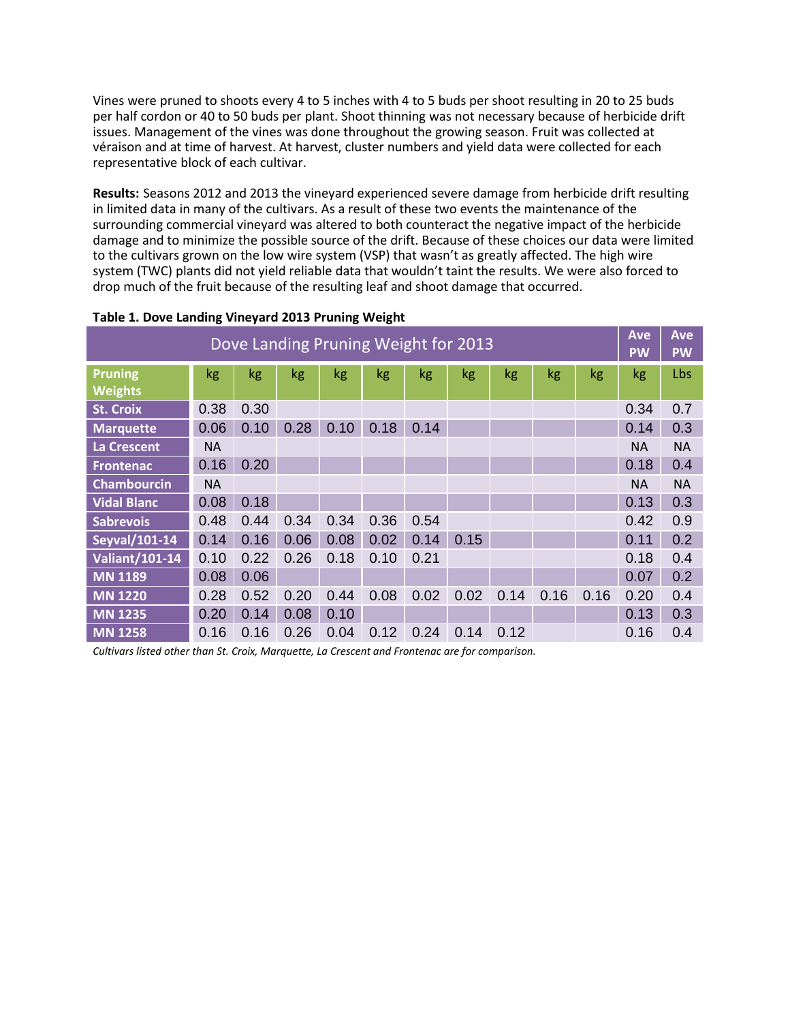Vines were pruned to shoots every 4 to 5 inches with 4 to 5 buds per shoot resulting in 20 to 25 buds per half cordon or 40 to 50 buds per plant. Shoot thinning was not necessary because of herbicide drift issues. Management of the vines was done throughout the growing season. Fruit was collected at véraison and at time of harvest. At harvest, cluster numbers and yield data were collected for each representative block of each cultivar.

**Results:** Seasons 2012 and 2013 the vineyard experienced severe damage from herbicide drift resulting in limited data in many of the cultivars. As a result of these two events the maintenance of the surrounding commercial vineyard was altered to both counteract the negative impact of the herbicide damage and to minimize the possible source of the drift. Because of these choices our data were limited to the cultivars grown on the low wire system (VSP) that wasn't as greatly affected. The high wire system (TWC) plants did not yield reliable data that wouldn't taint the results. We were also forced to drop much of the fruit because of the resulting leaf and shoot damage that occurred.

| Dove Landing Pruning Weight for 2013 |           |      |      |      |      |      |      |      |      | <b>Ave</b><br><b>PW</b> | <b>Ave</b><br><b>PW</b> |           |
|--------------------------------------|-----------|------|------|------|------|------|------|------|------|-------------------------|-------------------------|-----------|
| <b>Pruning</b><br><b>Weights</b>     | kg        | kg   | kg   | kg   | kg   | kg   | kg   | kg   | kg   | kg                      | kg                      | Lbs       |
| <b>St. Croix</b>                     | 0.38      | 0.30 |      |      |      |      |      |      |      |                         | 0.34                    | 0.7       |
| <b>Marquette</b>                     | 0.06      | 0.10 | 0.28 | 0.10 | 0.18 | 0.14 |      |      |      |                         | 0.14                    | 0.3       |
| La Crescent                          | <b>NA</b> |      |      |      |      |      |      |      |      |                         | <b>NA</b>               | <b>NA</b> |
| <b>Frontenac</b>                     | 0.16      | 0.20 |      |      |      |      |      |      |      |                         | 0.18                    | 0.4       |
| <b>Chambourcin</b>                   | <b>NA</b> |      |      |      |      |      |      |      |      |                         | <b>NA</b>               | <b>NA</b> |
| <b>Vidal Blanc</b>                   | 0.08      | 0.18 |      |      |      |      |      |      |      |                         | 0.13                    | 0.3       |
| <b>Sabrevois</b>                     | 0.48      | 0.44 | 0.34 | 0.34 | 0.36 | 0.54 |      |      |      |                         | 0.42                    | 0.9       |
| Seyval/101-14                        | 0.14      | 0.16 | 0.06 | 0.08 | 0.02 | 0.14 | 0.15 |      |      |                         | 0.11                    | 0.2       |
| <b>Valiant/101-14</b>                | 0.10      | 0.22 | 0.26 | 0.18 | 0.10 | 0.21 |      |      |      |                         | 0.18                    | 0.4       |
| <b>MN 1189</b>                       | 0.08      | 0.06 |      |      |      |      |      |      |      |                         | 0.07                    | 0.2       |
| <b>MN 1220</b>                       | 0.28      | 0.52 | 0.20 | 0.44 | 0.08 | 0.02 | 0.02 | 0.14 | 0.16 | 0.16                    | 0.20                    | 0.4       |
| <b>MN 1235</b>                       | 0.20      | 0.14 | 0.08 | 0.10 |      |      |      |      |      |                         | 0.13                    | 0.3       |
| <b>MN 1258</b>                       | 0.16      | 0.16 | 0.26 | 0.04 | 0.12 | 0.24 | 0.14 | 0.12 |      |                         | 0.16                    | 0.4       |

#### **Table 1. Dove Landing Vineyard 2013 Pruning Weight**

*Cultivars listed other than St. Croix, Marquette, La Crescent and Frontenac are for comparison.*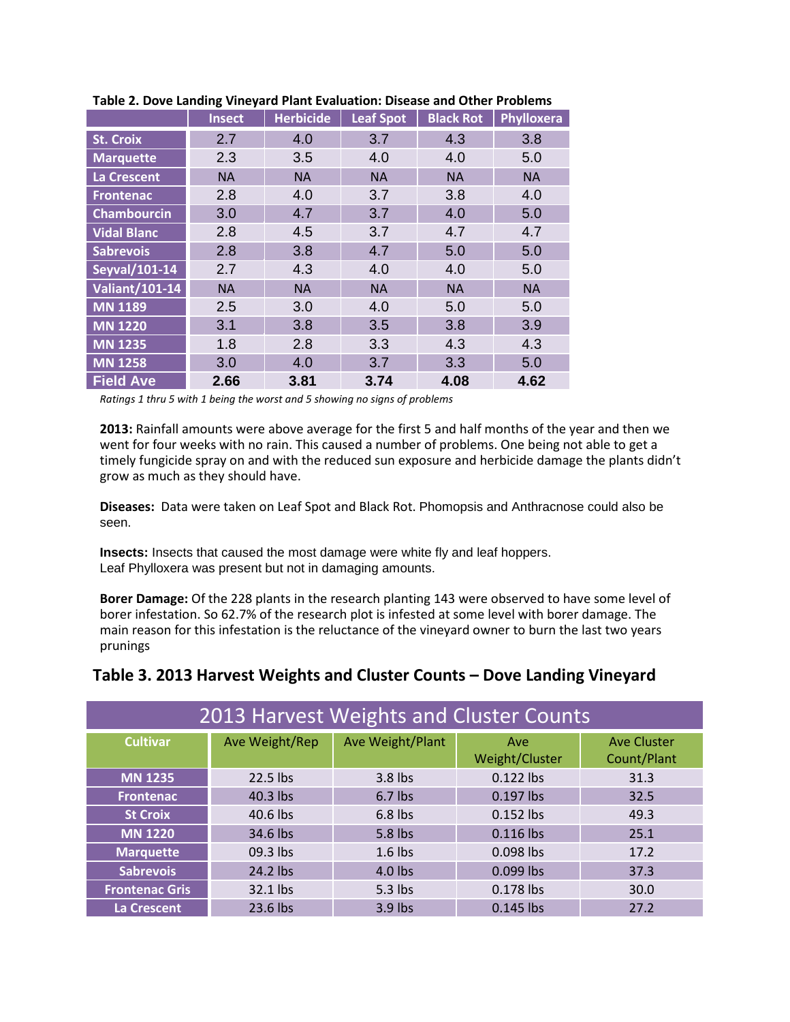|                       | <b>Insect</b> | <b>Herbicide</b> | Leaf Spot | <b>Black Rot</b> | <b>Phylloxera</b> |  |
|-----------------------|---------------|------------------|-----------|------------------|-------------------|--|
| <b>St. Croix</b>      | 2.7           | 4.0              | 3.7       | 4.3              | 3.8               |  |
| <b>Marquette</b>      | 2.3           | 3.5              | 4.0       | 4.0              | 5.0               |  |
| <b>La Crescent</b>    | <b>NA</b>     | <b>NA</b>        | <b>NA</b> | <b>NA</b>        | <b>NA</b>         |  |
| <b>Frontenac</b>      | 2.8           | 4.0              | 3.7       | 3.8              | 4.0               |  |
| <b>Chambourcin</b>    | 3.0           | 4.7              | 3.7       | 4.0              | 5.0               |  |
| <b>Vidal Blanc</b>    | 2.8           | 4.5              | 3.7       | 4.7              | 4.7               |  |
| <b>Sabrevois</b>      | 2.8           | 3.8              | 4.7       | 5.0              | 5.0               |  |
| Seyval/101-14         | 2.7           | 4.3              | 4.0       | 4.0              | 5.0               |  |
| <b>Valiant/101-14</b> | <b>NA</b>     | <b>NA</b>        | <b>NA</b> | <b>NA</b>        | <b>NA</b>         |  |
| <b>MN 1189</b>        | 2.5           | 3.0              | 4.0       | 5.0              | 5.0               |  |
| <b>MN 1220</b>        | 3.1           | 3.8              | 3.5       | 3.8              | 3.9               |  |
| <b>MN 1235</b>        | 1.8           | 2.8              | 3.3       | 4.3              | 4.3               |  |
| <b>MN 1258</b>        | 3.0           | 4.0              | 3.7       | 3.3              | 5.0               |  |
| <b>Field Ave</b>      | 2.66          | 3.81             | 3.74      | 4.08             | 4.62              |  |

#### **Table 2. Dove Landing Vineyard Plant Evaluation: Disease and Other Problems**

*Ratings 1 thru 5 with 1 being the worst and 5 showing no signs of problems*

**2013:** Rainfall amounts were above average for the first 5 and half months of the year and then we went for four weeks with no rain. This caused a number of problems. One being not able to get a timely fungicide spray on and with the reduced sun exposure and herbicide damage the plants didn't grow as much as they should have.

**Diseases:** Data were taken on Leaf Spot and Black Rot. Phomopsis and Anthracnose could also be seen.

**Insects:** Insects that caused the most damage were white fly and leaf hoppers. Leaf Phylloxera was present but not in damaging amounts.

**Borer Damage:** Of the 228 plants in the research planting 143 were observed to have some level of borer infestation. So 62.7% of the research plot is infested at some level with borer damage. The main reason for this infestation is the reluctance of the vineyard owner to burn the last two years prunings

### **Table 3. 2013 Harvest Weights and Cluster Counts – Dove Landing Vineyard**

| 2013 Harvest Weights and Cluster Counts |                |                  |                       |                            |  |  |  |  |  |
|-----------------------------------------|----------------|------------------|-----------------------|----------------------------|--|--|--|--|--|
| <b>Cultivar</b>                         | Ave Weight/Rep | Ave Weight/Plant | Ave<br>Weight/Cluster | Ave Cluster<br>Count/Plant |  |  |  |  |  |
| <b>MN 1235</b>                          | 22.5 lbs       | 3.8 lbs          | 0.122 lbs             | 31.3                       |  |  |  |  |  |
| <b>Frontenac</b>                        | 40.3 lbs       | $6.7$ lbs        | 0.197 lbs             | 32.5                       |  |  |  |  |  |
| <b>St Croix</b>                         | 40.6 lbs       | $6.8$ lbs        | 0.152 lbs             | 49.3                       |  |  |  |  |  |
| <b>MN 1220</b>                          | 34.6 lbs       | 5.8 lbs          | 0.116 lbs             | 25.1                       |  |  |  |  |  |
| <b>Marquette</b>                        | 09.3 lbs       | $1.6$ lbs        | 0.098 lbs             | 17.2                       |  |  |  |  |  |
| <b>Sabrevois</b>                        | 24.2 lbs       | $4.0$ lbs        | 0.099 lbs             | 37.3                       |  |  |  |  |  |
| <b>Frontenac Gris</b>                   | 32.1 lbs       | 5.3 lbs          | 0.178 lbs             | 30.0                       |  |  |  |  |  |
| La Crescent                             | 23.6 lbs       | 3.9 lbs          | 0.145 lbs             | 27.2                       |  |  |  |  |  |